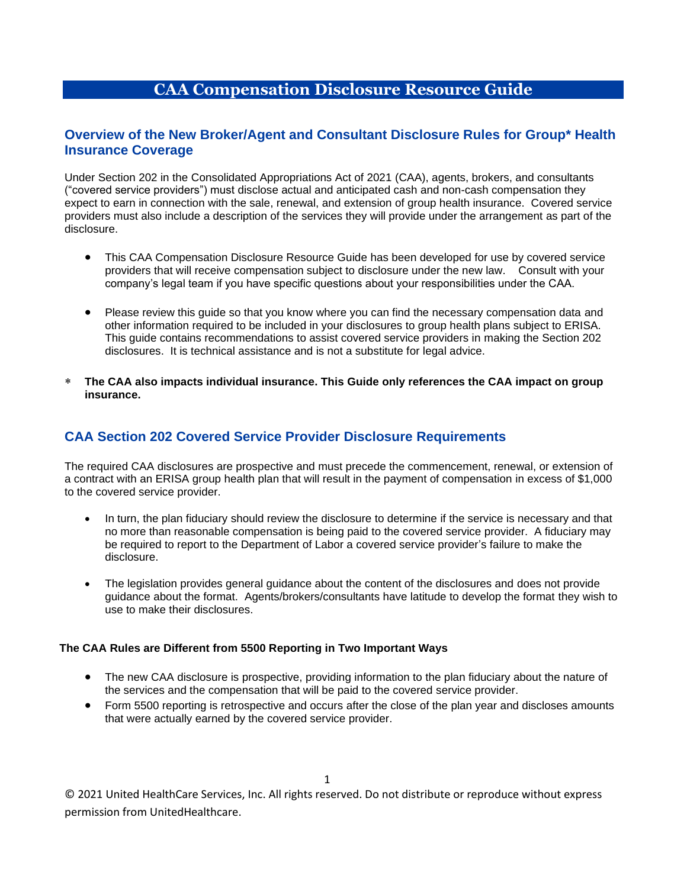# **CAA Compensation Disclosure Resource Guide**

### **Overview of the New Broker/Agent and Consultant Disclosure Rules for Group\* Health Insurance Coverage**

Under Section 202 in the Consolidated Appropriations Act of 2021 (CAA), agents, brokers, and consultants ("covered service providers") must disclose actual and anticipated cash and non-cash compensation they expect to earn in connection with the sale, renewal, and extension of group health insurance. Covered service providers must also include a description of the services they will provide under the arrangement as part of the disclosure.

- This CAA Compensation Disclosure Resource Guide has been developed for use by covered service providers that will receive compensation subject to disclosure under the new law. Consult with your company's legal team if you have specific questions about your responsibilities under the CAA.
- Please review this guide so that you know where you can find the necessary compensation data and other information required to be included in your disclosures to group health plans subject to ERISA. This guide contains recommendations to assist covered service providers in making the Section 202 disclosures. It is technical assistance and is not a substitute for legal advice.
- **The CAA also impacts individual insurance. This Guide only references the CAA impact on group insurance.**

## **CAA Section 202 Covered Service Provider Disclosure Requirements**

The required CAA disclosures are prospective and must precede the commencement, renewal, or extension of a contract with an ERISA group health plan that will result in the payment of compensation in excess of \$1,000 to the covered service provider.

- In turn, the plan fiduciary should review the disclosure to determine if the service is necessary and that no more than reasonable compensation is being paid to the covered service provider. A fiduciary may be required to report to the Department of Labor a covered service provider's failure to make the disclosure.
- The legislation provides general guidance about the content of the disclosures and does not provide guidance about the format. Agents/brokers/consultants have latitude to develop the format they wish to use to make their disclosures.

#### **The CAA Rules are Different from 5500 Reporting in Two Important Ways**

- The new CAA disclosure is prospective, providing information to the plan fiduciary about the nature of the services and the compensation that will be paid to the covered service provider.
- Form 5500 reporting is retrospective and occurs after the close of the plan year and discloses amounts that were actually earned by the covered service provider.

© 2021 United HealthCare Services, Inc. All rights reserved. Do not distribute or reproduce without express permission from UnitedHealthcare.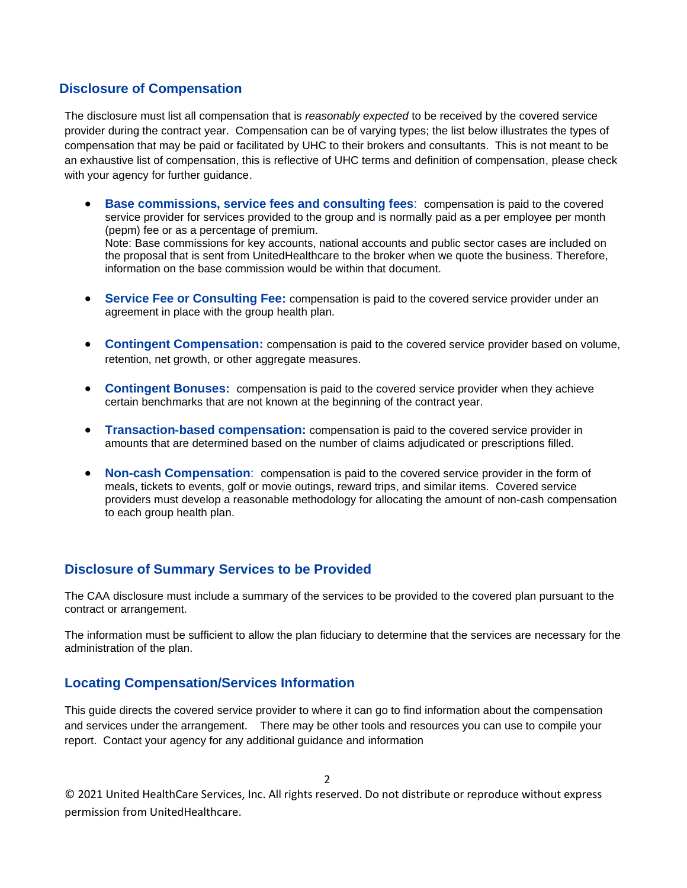### **Disclosure of Compensation**

The disclosure must list all compensation that is *reasonably expected* to be received by the covered service provider during the contract year. Compensation can be of varying types; the list below illustrates the types of compensation that may be paid or facilitated by UHC to their brokers and consultants. This is not meant to be an exhaustive list of compensation, this is reflective of UHC terms and definition of compensation, please check with your agency for further guidance.

- **Base commissions, service fees and consulting fees**: compensation is paid to the covered service provider for services provided to the group and is normally paid as a per employee per month (pepm) fee or as a percentage of premium. Note: Base commissions for key accounts, national accounts and public sector cases are included on the proposal that is sent from UnitedHealthcare to the broker when we quote the business. Therefore, information on the base commission would be within that document.
- **Service Fee or Consulting Fee:** compensation is paid to the covered service provider under an agreement in place with the group health plan.
- **Contingent Compensation:** compensation is paid to the covered service provider based on volume, retention, net growth, or other aggregate measures.
- **Contingent Bonuses:** compensation is paid to the covered service provider when they achieve certain benchmarks that are not known at the beginning of the contract year.
- **Transaction-based compensation:** compensation is paid to the covered service provider in amounts that are determined based on the number of claims adjudicated or prescriptions filled.
- **Non-cash Compensation**: compensation is paid to the covered service provider in the form of meals, tickets to events, golf or movie outings, reward trips, and similar items. Covered service providers must develop a reasonable methodology for allocating the amount of non-cash compensation to each group health plan.

## **Disclosure of Summary Services to be Provided**

The CAA disclosure must include a summary of the services to be provided to the covered plan pursuant to the contract or arrangement.

The information must be sufficient to allow the plan fiduciary to determine that the services are necessary for the administration of the plan.

### **Locating Compensation/Services Information**

This guide directs the covered service provider to where it can go to find information about the compensation and services under the arrangement. There may be other tools and resources you can use to compile your report. Contact your agency for any additional guidance and information

 $\mathcal{L}$ 

© 2021 United HealthCare Services, Inc. All rights reserved. Do not distribute or reproduce without express permission from UnitedHealthcare.